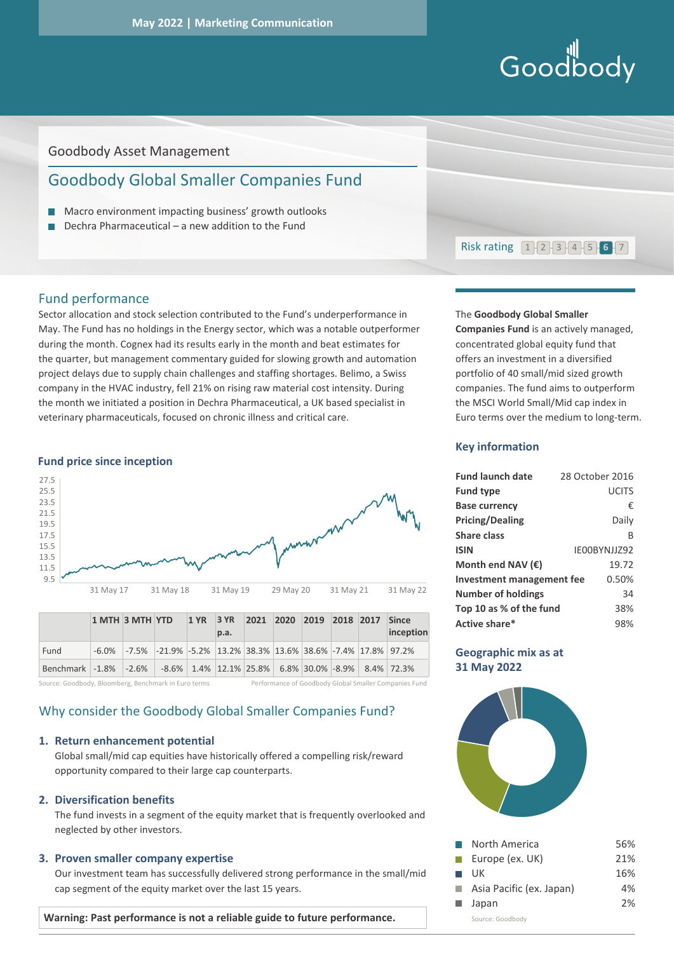# Goodbody

# Goodbody Asset Management

# Goodbody Global Smaller Companies Fund

- **Macro environment impacting business' growth outlooks**
- $\Box$  Dechra Pharmaceutical a new addition to the Fund



# Fund performance

Sector allocation and stock selection contributed to the Fund's underperformance in May. The Fund has no holdings in the Energy sector, which was a notable outperformer during the month. Cognex had its results early in the month and beat estimates for the quarter, but management commentary guided for slowing growth and automation project delays due to supply chain challenges and staffing shortages. Belimo, a Swiss company in the HVAC industry, fell 21% on rising raw material cost intensity. During the month we initiated a position in Dechra Pharmaceutical, a UK based specialist in veterinary pharmaceuticals, focused on chronic illness and critical care.

#### **Fund price since inception**



|                                                                          | 1 MTH 3 MTH YTD |                                                                                | p.a. | 1 YR 3 YR 2021 2020 2019 2018 2017 Since |  |  | inception |
|--------------------------------------------------------------------------|-----------------|--------------------------------------------------------------------------------|------|------------------------------------------|--|--|-----------|
| Fund                                                                     |                 | $-6.0\%$ $-7.5\%$ $-21.9\%$ $-5.2\%$ 13.2% 38.3% 13.6% 38.6% -7.4% 17.8% 97.2% |      |                                          |  |  |           |
| Benchmark -1.8% -2.6% -8.6% 1.4% 12.1% 25.8% 6.8% 30.0% -8.9% 8.4% 72.3% |                 |                                                                                |      |                                          |  |  |           |

Source: Goodbody, Bloomberg, Benchmark in Euro terms Performance of Goodbody Global Smaller Companies Fund

# Why consider the Goodbody Global Smaller Companies Fund?

## **1. Return enhancement potential**

Global small/mid cap equities have historically offered a compelling risk/reward opportunity compared to their large cap counterparts.

# **2. Diversification benefits**

The fund invests in a segment of the equity market that is frequently overlooked and neglected by other investors.

### **3. Proven smaller company expertise**

Our investment team has successfully delivered strong performance in the small/mid cap segment of the equity market over the last 15 years.

**Warning: Past performance is not a reliable guide to future performance.** 

# The **Goodbody Global Smaller**

**Companies Fund** is an actively managed, concentrated global equity fund that offers an investment in a diversified portfolio of 40 small/mid sized growth companies. The fund aims to outperform the MSCI World Small/Mid cap index in Euro terms over the medium to long-term.

#### **Key information**

| <b>Fund launch date</b>          | 28 October 2016 |
|----------------------------------|-----------------|
| <b>Fund type</b>                 | <b>UCITS</b>    |
| <b>Base currency</b>             | €               |
| <b>Pricing/Dealing</b>           | Daily           |
| <b>Share class</b>               | B               |
| <b>ISIN</b>                      | IE00BYNJJZ92    |
| Month end NAV $(\epsilon)$       | 19.72           |
| <b>Investment management fee</b> | 0.50%           |
| <b>Number of holdings</b>        | 34              |
| Top 10 as % of the fund          | 38%             |
| Active share*                    | 98%             |

#### **Geographic mix as at 31 May 2022**



| $\mathcal{L}_{\mathcal{A}}$ | North America            | 56% |
|-----------------------------|--------------------------|-----|
| $\mathcal{L}^{\mathcal{A}}$ | Europe (ex. UK)          | 21% |
| $\mathcal{L}(\mathcal{A})$  | UK.                      | 16% |
|                             | Asia Pacific (ex. Japan) | 4%  |
|                             | $\blacksquare$ Japan     | 2%  |
|                             | Source: Goodbody         |     |